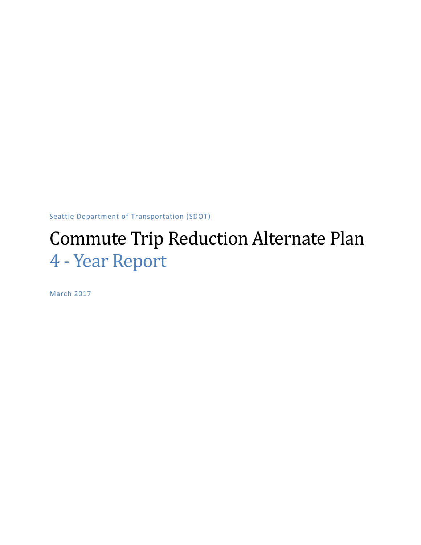Seattle Department of Transportation (SDOT)

# Commute Trip Reduction Alternate Plan 4 - Year Report

March 2017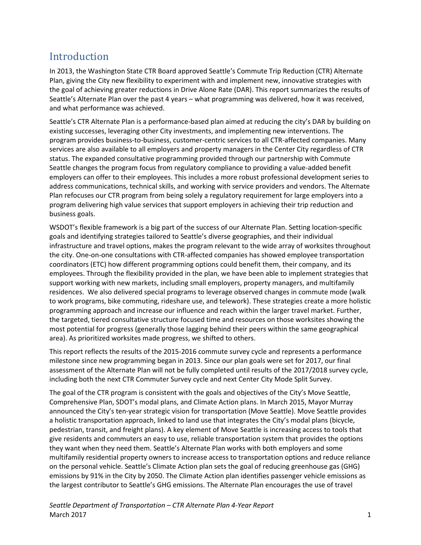# Introduction

In 2013, the Washington State CTR Board approved Seattle's Commute Trip Reduction (CTR) Alternate Plan, giving the City new flexibility to experiment with and implement new, innovative strategies with the goal of achieving greater reductions in Drive Alone Rate (DAR). This report summarizes the results of Seattle's Alternate Plan over the past 4 years – what programming was delivered, how it was received, and what performance was achieved.

Seattle's CTR Alternate Plan is a performance-based plan aimed at reducing the city's DAR by building on existing successes, leveraging other City investments, and implementing new interventions. The program provides business-to-business, customer-centric services to all CTR-affected companies. Many services are also available to all employers and property managers in the Center City regardless of CTR status. The expanded consultative programming provided through our partnership with Commute Seattle changes the program focus from regulatory compliance to providing a value-added benefit employers can offer to their employees. This includes a more robust professional development series to address communications, technical skills, and working with service providers and vendors. The Alternate Plan refocuses our CTR program from being solely a regulatory requirement for large employers into a program delivering high value services that support employers in achieving their trip reduction and business goals.

WSDOT's flexible framework is a big part of the success of our Alternate Plan. Setting location-specific goals and identifying strategies tailored to Seattle's diverse geographies, and their individual infrastructure and travel options, makes the program relevant to the wide array of worksites throughout the city. One-on-one consultations with CTR-affected companies has showed employee transportation coordinators (ETC) how different programming options could benefit them, their company, and its employees. Through the flexibility provided in the plan, we have been able to implement strategies that support working with new markets, including small employers, property managers, and multifamily residences. We also delivered special programs to leverage observed changes in commute mode (walk to work programs, bike commuting, rideshare use, and telework). These strategies create a more holistic programming approach and increase our influence and reach within the larger travel market. Further, the targeted, tiered consultative structure focused time and resources on those worksites showing the most potential for progress (generally those lagging behind their peers within the same geographical area). As prioritized worksites made progress, we shifted to others.

This report reflects the results of the 2015-2016 commute survey cycle and represents a performance milestone since new programming began in 2013. Since our plan goals were set for 2017, our final assessment of the Alternate Plan will not be fully completed until results of the 2017/2018 survey cycle, including both the next CTR Commuter Survey cycle and next Center City Mode Split Survey.

The goal of the CTR program is consistent with the goals and objectives of the City's Move Seattle, Comprehensive Plan, SDOT's modal plans, and Climate Action plans. In March 2015, Mayor Murray announced the City's ten-year strategic vision for transportation (Move Seattle). Move Seattle provides a holistic transportation approach, linked to land use that integrates the City's modal plans (bicycle, pedestrian, transit, and freight plans). A key element of Move Seattle is increasing access to tools that give residents and commuters an easy to use, reliable transportation system that provides the options they want when they need them. Seattle's Alternate Plan works with both employers and some multifamily residential property owners to increase access to transportation options and reduce reliance on the personal vehicle. Seattle's Climate Action plan sets the goal of reducing greenhouse gas (GHG) emissions by 91% in the City by 2050. The Climate Action plan identifies passenger vehicle emissions as the largest contributor to Seattle's GHG emissions. The Alternate Plan encourages the use of travel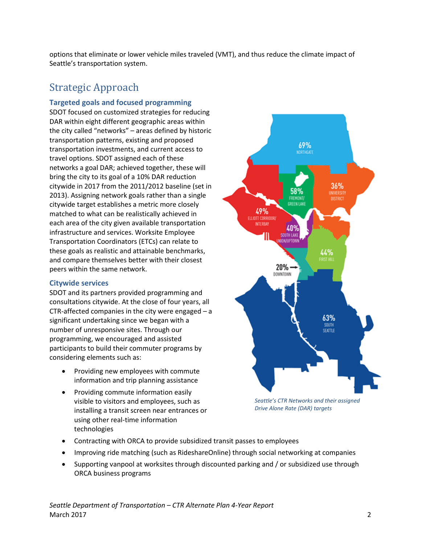options that eliminate or lower vehicle miles traveled (VMT), and thus reduce the climate impact of Seattle's transportation system.

# Strategic Approach

# **Targeted goals and focused programming**

SDOT focused on customized strategies for reducing DAR within eight different geographic areas within the city called "networks" – areas defined by historic transportation patterns, existing and proposed transportation investments, and current access to travel options. SDOT assigned each of these networks a goal DAR; achieved together, these will bring the city to its goal of a 10% DAR reduction citywide in 2017 from the 2011/2012 baseline (set in 2013). Assigning network goals rather than a single citywide target establishes a metric more closely matched to what can be realistically achieved in each area of the city given available transportation infrastructure and services. Worksite Employee Transportation Coordinators (ETCs) can relate to these goals as realistic and attainable benchmarks, and compare themselves better with their closest peers within the same network.

#### **Citywide services**

SDOT and its partners provided programming and consultations citywide. At the close of four years, all CTR-affected companies in the city were engaged – a significant undertaking since we began with a number of unresponsive sites. Through our programming, we encouraged and assisted participants to build their commuter programs by considering elements such as:

- Providing new employees with commute information and trip planning assistance
- Providing commute information easily visible to visitors and employees, such as installing a transit screen near entrances or using other real-time information technologies



*Seattle's CTR Networks and their assigned Drive Alone Rate (DAR) targets*

- Contracting with ORCA to provide subsidized transit passes to employees
- Improving ride matching (such as RideshareOnline) through social networking at companies
- Supporting vanpool at worksites through discounted parking and / or subsidized use through ORCA business programs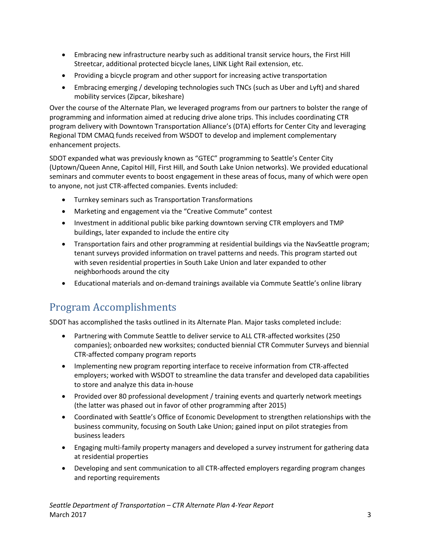- Embracing new infrastructure nearby such as additional transit service hours, the First Hill Streetcar, additional protected bicycle lanes, LINK Light Rail extension, etc.
- Providing a bicycle program and other support for increasing active transportation
- Embracing emerging / developing technologies such TNCs (such as Uber and Lyft) and shared mobility services (Zipcar, bikeshare)

Over the course of the Alternate Plan, we leveraged programs from our partners to bolster the range of programming and information aimed at reducing drive alone trips. This includes coordinating CTR program delivery with Downtown Transportation Alliance's (DTA) efforts for Center City and leveraging Regional TDM CMAQ funds received from WSDOT to develop and implement complementary enhancement projects.

SDOT expanded what was previously known as "GTEC" programming to Seattle's Center City (Uptown/Queen Anne, Capitol Hill, First Hill, and South Lake Union networks). We provided educational seminars and commuter events to boost engagement in these areas of focus, many of which were open to anyone, not just CTR-affected companies. Events included:

- Turnkey seminars such as Transportation Transformations
- Marketing and engagement via the "Creative Commute" contest
- Investment in additional public bike parking downtown serving CTR employers and TMP buildings, later expanded to include the entire city
- Transportation fairs and other programming at residential buildings via the NavSeattle program; tenant surveys provided information on travel patterns and needs. This program started out with seven residential properties in South Lake Union and later expanded to other neighborhoods around the city
- Educational materials and on-demand trainings available via Commute Seattle's online library

# Program Accomplishments

SDOT has accomplished the tasks outlined in its Alternate Plan. Major tasks completed include:

- Partnering with Commute Seattle to deliver service to ALL CTR-affected worksites (250 companies); onboarded new worksites; conducted biennial CTR Commuter Surveys and biennial CTR-affected company program reports
- Implementing new program reporting interface to receive information from CTR-affected employers; worked with WSDOT to streamline the data transfer and developed data capabilities to store and analyze this data in-house
- Provided over 80 professional development / training events and quarterly network meetings (the latter was phased out in favor of other programming after 2015)
- Coordinated with Seattle's Office of Economic Development to strengthen relationships with the business community, focusing on South Lake Union; gained input on pilot strategies from business leaders
- Engaging multi-family property managers and developed a survey instrument for gathering data at residential properties
- Developing and sent communication to all CTR-affected employers regarding program changes and reporting requirements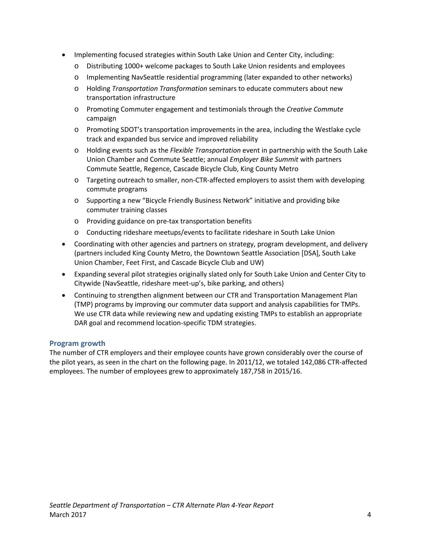- Implementing focused strategies within South Lake Union and Center City, including:
	- o Distributing 1000+ welcome packages to South Lake Union residents and employees
	- o Implementing NavSeattle residential programming (later expanded to other networks)
	- o Holding *Transportation Transformation* seminars to educate commuters about new transportation infrastructure
	- o Promoting Commuter engagement and testimonials through the *Creative Commute* campaign
	- o Promoting SDOT's transportation improvements in the area, including the Westlake cycle track and expanded bus service and improved reliability
	- o Holding events such as the *Flexible Transportation* event in partnership with the South Lake Union Chamber and Commute Seattle; annual *Employer Bike Summit* with partners Commute Seattle, Regence, Cascade Bicycle Club, King County Metro
	- o Targeting outreach to smaller, non-CTR-affected employers to assist them with developing commute programs
	- o Supporting a new "Bicycle Friendly Business Network" initiative and providing bike commuter training classes
	- o Providing guidance on pre-tax transportation benefits
	- o Conducting rideshare meetups/events to facilitate rideshare in South Lake Union
- Coordinating with other agencies and partners on strategy, program development, and delivery (partners included King County Metro, the Downtown Seattle Association [DSA], South Lake Union Chamber, Feet First, and Cascade Bicycle Club and UW)
- Expanding several pilot strategies originally slated only for South Lake Union and Center City to Citywide (NavSeattle, rideshare meet-up's, bike parking, and others)
- Continuing to strengthen alignment between our CTR and Transportation Management Plan (TMP) programs by improving our commuter data support and analysis capabilities for TMPs. We use CTR data while reviewing new and updating existing TMPs to establish an appropriate DAR goal and recommend location-specific TDM strategies.

## **Program growth**

The number of CTR employers and their employee counts have grown considerably over the course of the pilot years, as seen in the chart on the following page. In 2011/12, we totaled 142,086 CTR-affected employees. The number of employees grew to approximately 187,758 in 2015/16.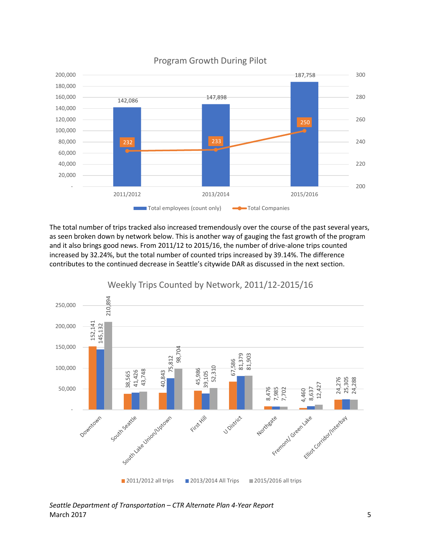

Program Growth During Pilot

The total number of trips tracked also increased tremendously over the course of the past several years, as seen broken down by network below. This is another way of gauging the fast growth of the program and it also brings good news. From 2011/12 to 2015/16, the number of drive-alone trips counted increased by 32.24%, but the total number of counted trips increased by 39.14%. The difference contributes to the continued decrease in Seattle's citywide DAR as discussed in the next section.

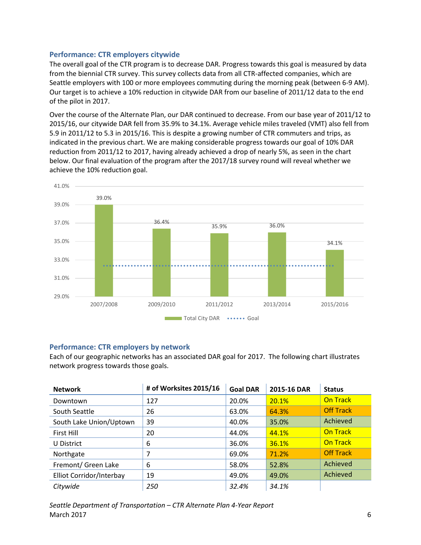# **Performance: CTR employers citywide**

The overall goal of the CTR program is to decrease DAR. Progress towards this goal is measured by data from the biennial CTR survey. This survey collects data from all CTR-affected companies, which are Seattle employers with 100 or more employees commuting during the morning peak (between 6-9 AM). Our target is to achieve a 10% reduction in citywide DAR from our baseline of 2011/12 data to the end of the pilot in 2017.

Over the course of the Alternate Plan, our DAR continued to decrease. From our base year of 2011/12 to 2015/16, our citywide DAR fell from 35.9% to 34.1%. Average vehicle miles traveled (VMT) also fell from 5.9 in 2011/12 to 5.3 in 2015/16. This is despite a growing number of CTR commuters and trips, as indicated in the previous chart. We are making considerable progress towards our goal of 10% DAR reduction from 2011/12 to 2017, having already achieved a drop of nearly 5%, as seen in the chart below. Our final evaluation of the program after the 2017/18 survey round will reveal whether we achieve the 10% reduction goal.



## **Performance: CTR employers by network**

Each of our geographic networks has an associated DAR goal for 2017. The following chart illustrates network progress towards those goals.

| <b>Network</b>           | # of Worksites 2015/16 | <b>Goal DAR</b> | 2015-16 DAR | <b>Status</b>    |
|--------------------------|------------------------|-----------------|-------------|------------------|
| Downtown                 | 127                    | 20.0%           | 20.1%       | <b>On Track</b>  |
| South Seattle            | 26                     | 63.0%           | 64.3%       | <b>Off Track</b> |
| South Lake Union/Uptown  | 39                     | 40.0%           | 35.0%       | Achieved         |
| First Hill               | 20                     | 44.0%           | 44.1%       | <b>On Track</b>  |
| U District               | 6                      | 36.0%           | 36.1%       | <b>On Track</b>  |
| Northgate                |                        | 69.0%           | 71.2%       | <b>Off Track</b> |
| Fremont/ Green Lake      | 6                      | 58.0%           | 52.8%       | Achieved         |
| Elliot Corridor/Interbay | 19                     | 49.0%           | 49.0%       | Achieved         |
| Citywide                 | 250                    | 32.4%           | 34.1%       |                  |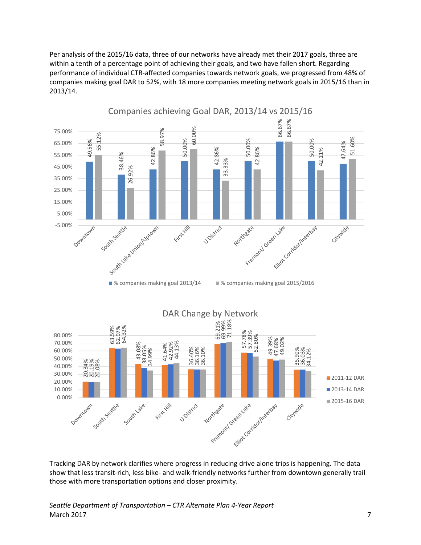Per analysis of the 2015/16 data, three of our networks have already met their 2017 goals, three are within a tenth of a percentage point of achieving their goals, and two have fallen short. Regarding performance of individual CTR-affected companies towards network goals, we progressed from 48% of companies making goal DAR to 52%, with 18 more companies meeting network goals in 2015/16 than in 2013/14.





Tracking DAR by network clarifies where progress in reducing drive alone trips is happening. The data show that less transit-rich, less bike- and walk-friendly networks further from downtown generally trail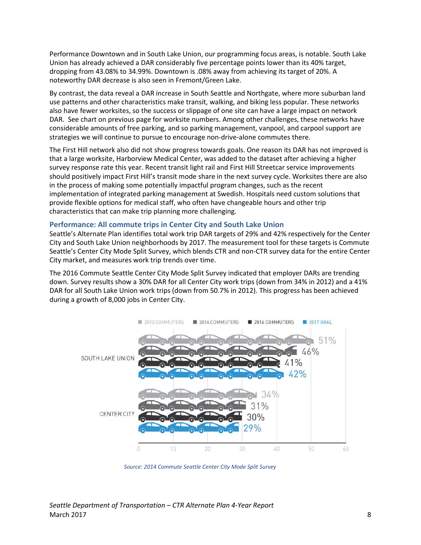Performance Downtown and in South Lake Union, our programming focus areas, is notable. South Lake Union has already achieved a DAR considerably five percentage points lower than its 40% target, dropping from 43.08% to 34.99%. Downtown is .08% away from achieving its target of 20%. A noteworthy DAR decrease is also seen in Fremont/Green Lake.

By contrast, the data reveal a DAR increase in South Seattle and Northgate, where more suburban land use patterns and other characteristics make transit, walking, and biking less popular. These networks also have fewer worksites, so the success or slippage of one site can have a large impact on network DAR. See chart on previous page for worksite numbers. Among other challenges, these networks have considerable amounts of free parking, and so parking management, vanpool, and carpool support are strategies we will continue to pursue to encourage non-drive-alone commutes there.

The First Hill network also did not show progress towards goals. One reason its DAR has not improved is that a large worksite, Harborview Medical Center, was added to the dataset after achieving a higher survey response rate this year. Recent transit light rail and First Hill Streetcar service improvements should positively impact First Hill's transit mode share in the next survey cycle. Worksites there are also in the process of making some potentially impactful program changes, such as the recent implementation of integrated parking management at Swedish. Hospitals need custom solutions that provide flexible options for medical staff, who often have changeable hours and other trip characteristics that can make trip planning more challenging.

#### **Performance: All commute trips in Center City and South Lake Union**

Seattle's Alternate Plan identifies total work trip DAR targets of 29% and 42% respectively for the Center City and South Lake Union neighborhoods by 2017. The measurement tool for these targets is Commute Seattle's Center City Mode Split Survey, which blends CTR and non-CTR survey data for the entire Center City market, and measures work trip trends over time.

The 2016 Commute Seattle Center City Mode Split Survey indicated that employer DARs are trending down. Survey results show a 30% DAR for all Center City work trips (down from 34% in 2012) and a 41% DAR for all South Lake Union work trips (down from 50.7% in 2012). This progress has been achieved during a growth of 8,000 jobs in Center City.



*Source: 2014 Commute Seattle Center City Mode Split Survey*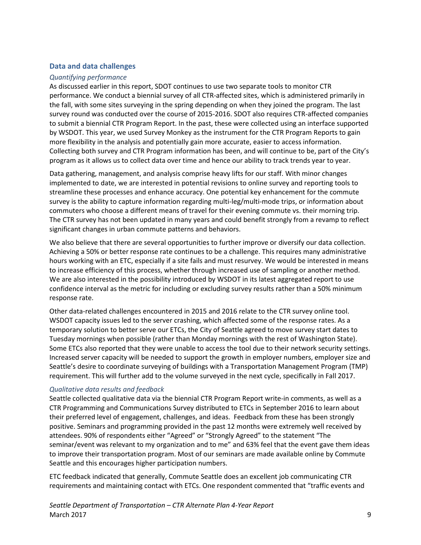#### **Data and data challenges**

#### *Quantifying performance*

As discussed earlier in this report, SDOT continues to use two separate tools to monitor CTR performance. We conduct a biennial survey of all CTR-affected sites, which is administered primarily in the fall, with some sites surveying in the spring depending on when they joined the program. The last survey round was conducted over the course of 2015-2016. SDOT also requires CTR-affected companies to submit a biennial CTR Program Report. In the past, these were collected using an interface supported by WSDOT. This year, we used Survey Monkey as the instrument for the CTR Program Reports to gain more flexibility in the analysis and potentially gain more accurate, easier to access information. Collecting both survey and CTR Program information has been, and will continue to be, part of the City's program as it allows us to collect data over time and hence our ability to track trends year to year.

Data gathering, management, and analysis comprise heavy lifts for our staff. With minor changes implemented to date, we are interested in potential revisions to online survey and reporting tools to streamline these processes and enhance accuracy. One potential key enhancement for the commute survey is the ability to capture information regarding multi-leg/multi-mode trips, or information about commuters who choose a different means of travel for their evening commute vs. their morning trip. The CTR survey has not been updated in many years and could benefit strongly from a revamp to reflect significant changes in urban commute patterns and behaviors.

We also believe that there are several opportunities to further improve or diversify our data collection. Achieving a 50% or better response rate continues to be a challenge. This requires many administrative hours working with an ETC, especially if a site fails and must resurvey. We would be interested in means to increase efficiency of this process, whether through increased use of sampling or another method. We are also interested in the possibility introduced by WSDOT in its latest aggregated report to use confidence interval as the metric for including or excluding survey results rather than a 50% minimum response rate.

Other data-related challenges encountered in 2015 and 2016 relate to the CTR survey online tool. WSDOT capacity issues led to the server crashing, which affected some of the response rates. As a temporary solution to better serve our ETCs, the City of Seattle agreed to move survey start dates to Tuesday mornings when possible (rather than Monday mornings with the rest of Washington State). Some ETCs also reported that they were unable to access the tool due to their network security settings. Increased server capacity will be needed to support the growth in employer numbers, employer size and Seattle's desire to coordinate surveying of buildings with a Transportation Management Program (TMP) requirement. This will further add to the volume surveyed in the next cycle, specifically in Fall 2017.

#### *Qualitative data results and feedback*

Seattle collected qualitative data via the biennial CTR Program Report write-in comments, as well as a CTR Programming and Communications Survey distributed to ETCs in September 2016 to learn about their preferred level of engagement, challenges, and ideas. Feedback from these has been strongly positive. Seminars and programming provided in the past 12 months were extremely well received by attendees. 90% of respondents either "Agreed" or "Strongly Agreed" to the statement "The seminar/event was relevant to my organization and to me" and 63% feel that the event gave them ideas to improve their transportation program. Most of our seminars are made available online by Commute Seattle and this encourages higher participation numbers.

ETC feedback indicated that generally, Commute Seattle does an excellent job communicating CTR requirements and maintaining contact with ETCs. One respondent commented that "traffic events and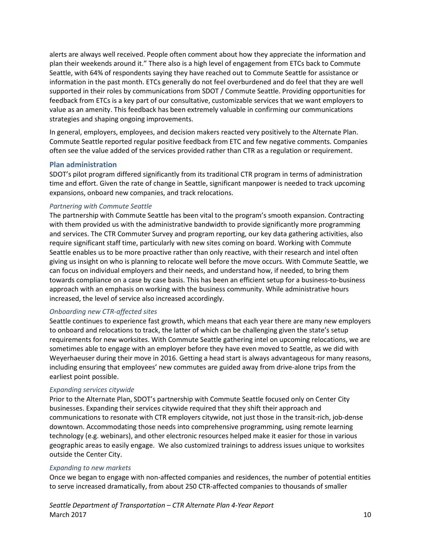alerts are always well received. People often comment about how they appreciate the information and plan their weekends around it." There also is a high level of engagement from ETCs back to Commute Seattle, with 64% of respondents saying they have reached out to Commute Seattle for assistance or information in the past month. ETCs generally do not feel overburdened and do feel that they are well supported in their roles by communications from SDOT / Commute Seattle. Providing opportunities for feedback from ETCs is a key part of our consultative, customizable services that we want employers to value as an amenity. This feedback has been extremely valuable in confirming our communications strategies and shaping ongoing improvements.

In general, employers, employees, and decision makers reacted very positively to the Alternate Plan. Commute Seattle reported regular positive feedback from ETC and few negative comments. Companies often see the value added of the services provided rather than CTR as a regulation or requirement.

#### **Plan administration**

SDOT's pilot program differed significantly from its traditional CTR program in terms of administration time and effort. Given the rate of change in Seattle, significant manpower is needed to track upcoming expansions, onboard new companies, and track relocations.

#### *Partnering with Commute Seattle*

The partnership with Commute Seattle has been vital to the program's smooth expansion. Contracting with them provided us with the administrative bandwidth to provide significantly more programming and services. The CTR Commuter Survey and program reporting, our key data gathering activities, also require significant staff time, particularly with new sites coming on board. Working with Commute Seattle enables us to be more proactive rather than only reactive, with their research and intel often giving us insight on who is planning to relocate well before the move occurs. With Commute Seattle, we can focus on individual employers and their needs, and understand how, if needed, to bring them towards compliance on a case by case basis. This has been an efficient setup for a business-to-business approach with an emphasis on working with the business community. While administrative hours increased, the level of service also increased accordingly.

## *Onboarding new CTR-affected sites*

Seattle continues to experience fast growth, which means that each year there are many new employers to onboard and relocations to track, the latter of which can be challenging given the state's setup requirements for new worksites. With Commute Seattle gathering intel on upcoming relocations, we are sometimes able to engage with an employer before they have even moved to Seattle, as we did with Weyerhaeuser during their move in 2016. Getting a head start is always advantageous for many reasons, including ensuring that employees' new commutes are guided away from drive-alone trips from the earliest point possible.

#### *Expanding services citywide*

Prior to the Alternate Plan, SDOT's partnership with Commute Seattle focused only on Center City businesses. Expanding their services citywide required that they shift their approach and communications to resonate with CTR employers citywide, not just those in the transit-rich, job-dense downtown. Accommodating those needs into comprehensive programming, using remote learning technology (e.g. webinars), and other electronic resources helped make it easier for those in various geographic areas to easily engage. We also customized trainings to address issues unique to worksites outside the Center City.

#### *Expanding to new markets*

Once we began to engage with non-affected companies and residences, the number of potential entities to serve increased dramatically, from about 250 CTR-affected companies to thousands of smaller

*Seattle Department of Transportation – CTR Alternate Plan 4-Year Report* March  $2017$  and  $10$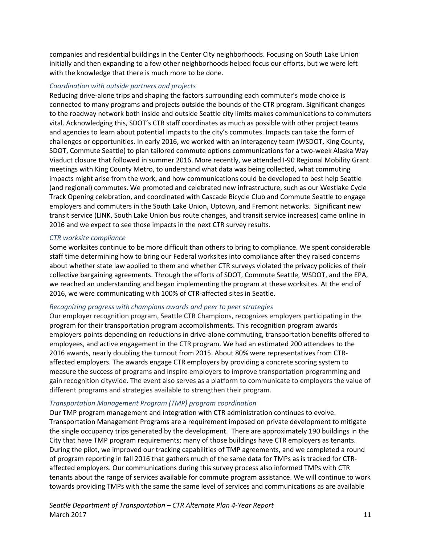companies and residential buildings in the Center City neighborhoods. Focusing on South Lake Union initially and then expanding to a few other neighborhoods helped focus our efforts, but we were left with the knowledge that there is much more to be done.

#### *Coordination with outside partners and projects*

Reducing drive-alone trips and shaping the factors surrounding each commuter's mode choice is connected to many programs and projects outside the bounds of the CTR program. Significant changes to the roadway network both inside and outside Seattle city limits makes communications to commuters vital. Acknowledging this, SDOT's CTR staff coordinates as much as possible with other project teams and agencies to learn about potential impacts to the city's commutes. Impacts can take the form of challenges or opportunities. In early 2016, we worked with an interagency team (WSDOT, King County, SDOT, Commute Seattle) to plan tailored commute options communications for a two-week Alaska Way Viaduct closure that followed in summer 2016. More recently, we attended I-90 Regional Mobility Grant meetings with King County Metro, to understand what data was being collected, what commuting impacts might arise from the work, and how communications could be developed to best help Seattle (and regional) commutes. We promoted and celebrated new infrastructure, such as our Westlake Cycle Track Opening celebration, and coordinated with Cascade Bicycle Club and Commute Seattle to engage employers and commuters in the South Lake Union, Uptown, and Fremont networks. Significant new transit service (LINK, South Lake Union bus route changes, and transit service increases) came online in 2016 and we expect to see those impacts in the next CTR survey results.

#### *CTR worksite compliance*

Some worksites continue to be more difficult than others to bring to compliance. We spent considerable staff time determining how to bring our Federal worksites into compliance after they raised concerns about whether state law applied to them and whether CTR surveys violated the privacy policies of their collective bargaining agreements. Through the efforts of SDOT, Commute Seattle, WSDOT, and the EPA, we reached an understanding and began implementing the program at these worksites. At the end of 2016, we were communicating with 100% of CTR-affected sites in Seattle.

#### *Recognizing progress with champions awards and peer to peer strategies*

Our employer recognition program, Seattle CTR Champions, recognizes employers participating in the program for their transportation program accomplishments. This recognition program awards employers points depending on reductions in drive-alone commuting, transportation benefits offered to employees, and active engagement in the CTR program. We had an estimated 200 attendees to the 2016 awards, nearly doubling the turnout from 2015. About 80% were representatives from CTRaffected employers. The awards engage CTR employers by providing a concrete scoring system to measure the success of programs and inspire employers to improve transportation programming and gain recognition citywide. The event also serves as a platform to communicate to employers the value of different programs and strategies available to strengthen their program.

#### *Transportation Management Program (TMP) program coordination*

Our TMP program management and integration with CTR administration continues to evolve. Transportation Management Programs are a requirement imposed on private development to mitigate the single occupancy trips generated by the development. There are approximately 190 buildings in the City that have TMP program requirements; many of those buildings have CTR employers as tenants. During the pilot, we improved our tracking capabilities of TMP agreements, and we completed a round of program reporting in fall 2016 that gathers much of the same data for TMPs as is tracked for CTRaffected employers. Our communications during this survey process also informed TMPs with CTR tenants about the range of services available for commute program assistance. We will continue to work towards providing TMPs with the same the same level of services and communications as are available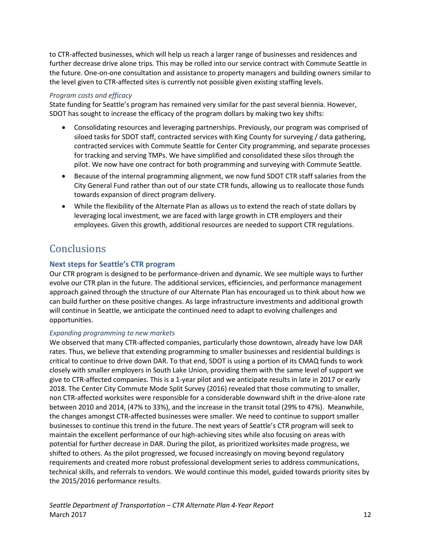to CTR-affected businesses, which will help us reach a larger range of businesses and residences and further decrease drive alone trips. This may be rolled into our service contract with Commute Seattle in the future. One-on-one consultation and assistance to property managers and building owners similar to the level given to CTR-affected sites is currently not possible given existing staffing levels.

## *Program costs and efficacy*

State funding for Seattle's program has remained very similar for the past several biennia. However, SDOT has sought to increase the efficacy of the program dollars by making two key shifts:

- Consolidating resources and leveraging partnerships. Previously, our program was comprised of siloed tasks for SDOT staff, contracted services with King County for surveying / data gathering, contracted services with Commute Seattle for Center City programming, and separate processes for tracking and serving TMPs. We have simplified and consolidated these silos through the pilot. We now have one contract for both programming and surveying with Commute Seattle.
- Because of the internal programming alignment, we now fund SDOT CTR staff salaries from the City General Fund rather than out of our state CTR funds, allowing us to reallocate those funds towards expansion of direct program delivery.
- While the flexibility of the Alternate Plan as allows us to extend the reach of state dollars by leveraging local investment, we are faced with large growth in CTR employers and their employees. Given this growth, additional resources are needed to support CTR regulations.

# **Conclusions**

# **Next steps for Seattle's CTR program**

Our CTR program is designed to be performance-driven and dynamic. We see multiple ways to further evolve our CTR plan in the future. The additional services, efficiencies, and performance management approach gained through the structure of our Alternate Plan has encouraged us to think about how we can build further on these positive changes. As large infrastructure investments and additional growth will continue in Seattle, we anticipate the continued need to adapt to evolving challenges and opportunities.

#### *Expanding programming to new markets*

We observed that many CTR-affected companies, particularly those downtown, already have low DAR rates. Thus, we believe that extending programming to smaller businesses and residential buildings is critical to continue to drive down DAR. To that end, SDOT is using a portion of its CMAQ funds to work closely with smaller employers in South Lake Union, providing them with the same level of support we give to CTR-affected companies. This is a 1-year pilot and we anticipate results in late in 2017 or early 2018. The Center City Commute Mode Split Survey (2016) revealed that those commuting to smaller, non CTR-affected worksites were responsible for a considerable downward shift in the drive-alone rate between 2010 and 2014, (47% to 33%), and the increase in the transit total (29% to 47%). Meanwhile, the changes amongst CTR-affected businesses were smaller. We need to continue to support smaller businesses to continue this trend in the future. The next years of Seattle's CTR program will seek to maintain the excellent performance of our high-achieving sites while also focusing on areas with potential for further decrease in DAR. During the pilot, as prioritized worksites made progress, we shifted to others. As the pilot progressed, we focused increasingly on moving beyond regulatory requirements and created more robust professional development series to address communications, technical skills, and referrals to vendors. We would continue this model, guided towards priority sites by the 2015/2016 performance results.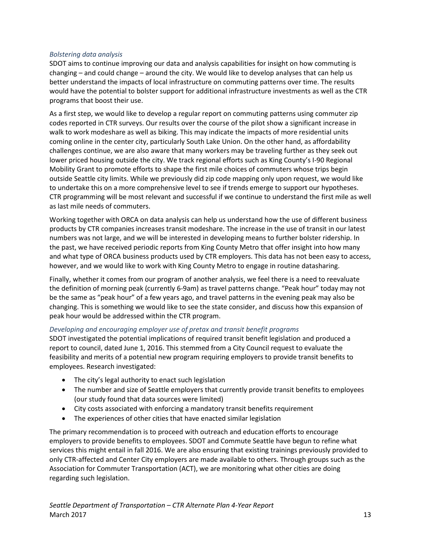#### *Bolstering data analysis*

SDOT aims to continue improving our data and analysis capabilities for insight on how commuting is changing – and could change – around the city. We would like to develop analyses that can help us better understand the impacts of local infrastructure on commuting patterns over time. The results would have the potential to bolster support for additional infrastructure investments as well as the CTR programs that boost their use.

As a first step, we would like to develop a regular report on commuting patterns using commuter zip codes reported in CTR surveys. Our results over the course of the pilot show a significant increase in walk to work modeshare as well as biking. This may indicate the impacts of more residential units coming online in the center city, particularly South Lake Union. On the other hand, as affordability challenges continue, we are also aware that many workers may be traveling further as they seek out lower priced housing outside the city. We track regional efforts such as King County's I-90 Regional Mobility Grant to promote efforts to shape the first mile choices of commuters whose trips begin outside Seattle city limits. While we previously did zip code mapping only upon request, we would like to undertake this on a more comprehensive level to see if trends emerge to support our hypotheses. CTR programming will be most relevant and successful if we continue to understand the first mile as well as last mile needs of commuters.

Working together with ORCA on data analysis can help us understand how the use of different business products by CTR companies increases transit modeshare. The increase in the use of transit in our latest numbers was not large, and we will be interested in developing means to further bolster ridership. In the past, we have received periodic reports from King County Metro that offer insight into how many and what type of ORCA business products used by CTR employers. This data has not been easy to access, however, and we would like to work with King County Metro to engage in routine datasharing.

Finally, whether it comes from our program of another analysis, we feel there is a need to reevaluate the definition of morning peak (currently 6-9am) as travel patterns change. "Peak hour" today may not be the same as "peak hour" of a few years ago, and travel patterns in the evening peak may also be changing. This is something we would like to see the state consider, and discuss how this expansion of peak hour would be addressed within the CTR program.

## *Developing and encouraging employer use of pretax and transit benefit programs*

SDOT investigated the potential implications of required transit benefit legislation and produced a report to council, dated June 1, 2016. This stemmed from a City Council request to evaluate the feasibility and merits of a potential new program requiring employers to provide transit benefits to employees. Research investigated:

- The city's legal authority to enact such legislation
- The number and size of Seattle employers that currently provide transit benefits to employees (our study found that data sources were limited)
- City costs associated with enforcing a mandatory transit benefits requirement
- The experiences of other cities that have enacted similar legislation

The primary recommendation is to proceed with outreach and education efforts to encourage employers to provide benefits to employees. SDOT and Commute Seattle have begun to refine what services this might entail in fall 2016. We are also ensuring that existing trainings previously provided to only CTR-affected and Center City employers are made available to others. Through groups such as the Association for Commuter Transportation (ACT), we are monitoring what other cities are doing regarding such legislation.